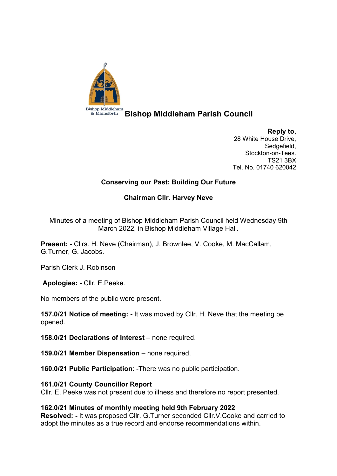

**Bishop Middleham Parish Council**

**Reply to,** 28 White House Drive, Sedgefield, Stockton-on-Tees. TS21 3BX Tel. No. 01740 620042

# **Conserving our Past: Building Our Future**

# **Chairman Cllr. Harvey Neve**

Minutes of a meeting of Bishop Middleham Parish Council held Wednesday 9th March 2022, in Bishop Middleham Village Hall.

**Present: -** Cllrs. H. Neve (Chairman), J. Brownlee, V. Cooke, M. MacCallam, G.Turner, G. Jacobs.

Parish Clerk J. Robinson

**Apologies: -** Cllr. E.Peeke.

No members of the public were present.

**157.0/21 Notice of meeting: -** It was moved by Cllr. H. Neve that the meeting be opened.

**158.0/21 Declarations of Interest** – none required.

**159.0/21 Member Dispensation** – none required.

**160.0/21 Public Participation**: -**T**here was no public participation.

# **161.0/21 County Councillor Report**

Cllr. E. Peeke was not present due to illness and therefore no report presented.

# **162.0/21 Minutes of monthly meeting held 9th February 2022**

**Resolved: -** It was proposed Cllr. G.Turner seconded Cllr.V.Cooke and carried to adopt the minutes as a true record and endorse recommendations within.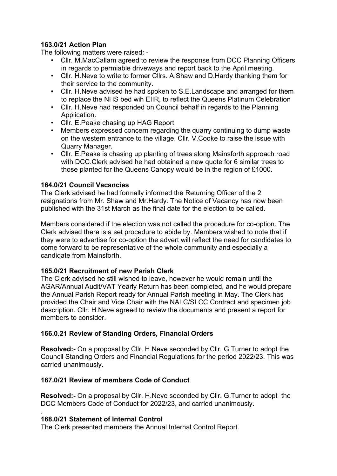# **163.0/21 Action Plan**

The following matters were raised: -

- Cllr. M.MacCallam agreed to review the response from DCC Planning Officers in regards to permiable driveways and report back to the April meeting.
- Cllr. H.Neve to write to former Cllrs. A.Shaw and D.Hardy thanking them for their service to the community.
- Cllr. H.Neve advised he had spoken to S.E.Landscape and arranged for them to replace the NHS bed wih EIIR, to reflect the Queens Platinum Celebration
- Cllr. H.Neve had responded on Council behalf in regards to the Planning Application.
- Cllr. E.Peake chasing up HAG Report
- Members expressed concern regarding the quarry continuing to dump waste on the western entrance to the village. Cllr. V.Cooke to raise the issue with Quarry Manager.
- Cllr. E.Peake is chasing up planting of trees along Mainsforth approach road with DCC.Clerk advised he had obtained a new quote for 6 similar trees to those planted for the Queens Canopy would be in the region of £1000.

# **164.0/21 Council Vacancies**

The Clerk advised he had formally informed the Returning Officer of the 2 resignations from Mr. Shaw and Mr.Hardy. The Notice of Vacancy has now been published with the 31st March as the final date for the election to be called.

Members considered if the election was not called the procedure for co-option. The Clerk advised there is a set procedure to abide by. Members wished to note that if they were to advertise for co-option the advert will reflect the need for candidates to come forward to be representative of the whole community and especially a candidate from Mainsforth.

# **165.0/21 Recruitment of new Parish Clerk**

The Clerk advised he still wished to leave, however he would remain until the AGAR/Annual Audit/VAT Yearly Return has been completed, and he would prepare the Annual Parish Report ready for Annual Parish meeting in May. The Clerk has provided the Chair and Vice Chair with the NALC/SLCC Contract and specimen job description. Cllr. H.Neve agreed to review the documents and present a report for members to consider.

# **166.0.21 Review of Standing Orders, Financial Orders**

**Resolved:-** On a proposal by Cllr. H.Neve seconded by Cllr. G.Turner to adopt the Council Standing Orders and Financial Regulations for the period 2022/23. This was carried unanimously.

# **167.0/21 Review of members Code of Conduct**

**Resolved:-** On a proposal by Cllr. H.Neve seconded by Cllr. G.Turner to adopt the DCC Members Code of Conduct for 2022/23, and carried unanimously.

#### . **168.0/21 Statement of Internal Control**

The Clerk presented members the Annual Internal Control Report.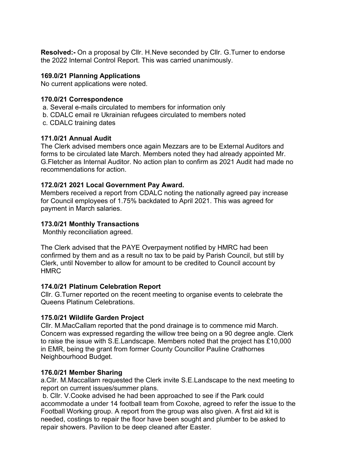**Resolved:-** On a proposal by Cllr. H.Neve seconded by Cllr. G.Turner to endorse the 2022 Internal Control Report. This was carried unanimously.

### **169.0/21 Planning Applications**

No current applications were noted.

#### **170.0/21 Correspondence**

a. Several e-mails circulated to members for information only b. CDALC email re Ukrainian refugees circulated to members noted c. CDALC training dates

#### **171.0/21 Annual Audit**

The Clerk advised members once again Mezzars are to be External Auditors and forms to be circulated late March. Members noted they had already appointed Mr. G.Fletcher as Internal Auditor. No action plan to confirm as 2021 Audit had made no recommendations for action.

# **172.0/21 2021 Local Government Pay Award.**

Members received a report from CDALC noting the nationally agreed pay increase for Council employees of 1.75% backdated to April 2021. This was agreed for payment in March salaries.

# **173.0/21 Monthly Transactions**

Monthly reconciliation agreed.

The Clerk advised that the PAYE Overpayment notified by HMRC had been confirmed by them and as a result no tax to be paid by Parish Council, but still by Clerk, until November to allow for amount to be credited to Council account by HMRC

# **174.0/21 Platinum Celebration Report**

Cllr. G.Turner reported on the recent meeting to organise events to celebrate the Queens Platinum Celebrations.

# **175.0/21 Wildlife Garden Project**

Cllr. M.MacCallam reported that the pond drainage is to commence mid March. Concern was expressed regarding the willow tree being on a 90 degree angle. Clerk to raise the issue with S.E.Landscape. Members noted that the project has £10,000 in EMR, being the grant from former County Councillor Pauline Crathornes Neighbourhood Budget.

# **176.0/21 Member Sharing**

a.Cllr. M.Maccallam requested the Clerk invite S.E.Landscape to the next meeting to report on current issues/summer plans.

b. Cllr. V.Cooke advised he had been approached to see if the Park could accommodate a under 14 football team from Coxohe, agreed to refer the issue to the Football Working group. A report from the group was also given. A first aid kit is needed, costings to repair the floor have been sought and plumber to be asked to repair showers. Pavilion to be deep cleaned after Easter.